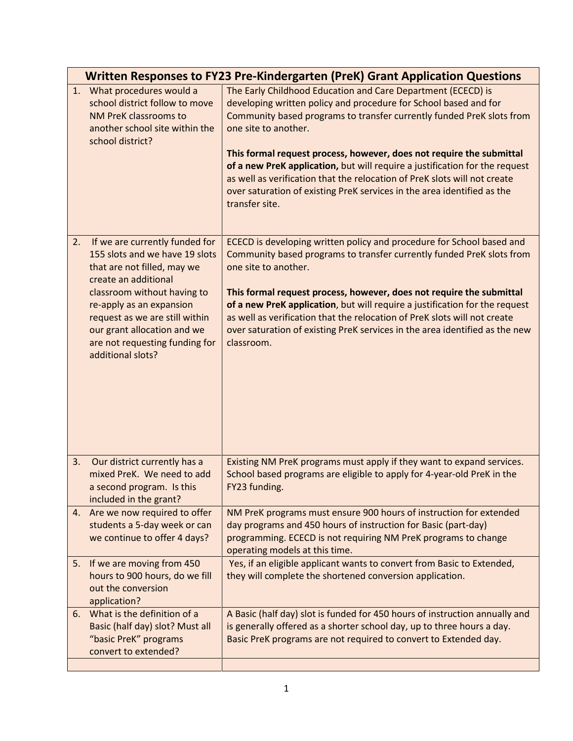|    | <b>Written Responses to FY23 Pre-Kindergarten (PreK) Grant Application Questions</b>                                                                                                                                                                                                                       |                                                                                                                                                                                                                                                                                                                                                                                                                                                                                                                                                                    |  |
|----|------------------------------------------------------------------------------------------------------------------------------------------------------------------------------------------------------------------------------------------------------------------------------------------------------------|--------------------------------------------------------------------------------------------------------------------------------------------------------------------------------------------------------------------------------------------------------------------------------------------------------------------------------------------------------------------------------------------------------------------------------------------------------------------------------------------------------------------------------------------------------------------|--|
|    | 1. What procedures would a<br>school district follow to move<br>NM PreK classrooms to<br>another school site within the<br>school district?                                                                                                                                                                | The Early Childhood Education and Care Department (ECECD) is<br>developing written policy and procedure for School based and for<br>Community based programs to transfer currently funded PreK slots from<br>one site to another.<br>This formal request process, however, does not require the submittal<br>of a new PreK application, but will require a justification for the request<br>as well as verification that the relocation of PreK slots will not create<br>over saturation of existing PreK services in the area identified as the<br>transfer site. |  |
| 2. | If we are currently funded for<br>155 slots and we have 19 slots<br>that are not filled, may we<br>create an additional<br>classroom without having to<br>re-apply as an expansion<br>request as we are still within<br>our grant allocation and we<br>are not requesting funding for<br>additional slots? | ECECD is developing written policy and procedure for School based and<br>Community based programs to transfer currently funded PreK slots from<br>one site to another.<br>This formal request process, however, does not require the submittal<br>of a new PreK application, but will require a justification for the request<br>as well as verification that the relocation of PreK slots will not create<br>over saturation of existing PreK services in the area identified as the new<br>classroom.                                                            |  |
| 3. | Our district currently has a<br>mixed PreK. We need to add<br>a second program. Is this<br>included in the grant?                                                                                                                                                                                          | Existing NM PreK programs must apply if they want to expand services.<br>School based programs are eligible to apply for 4-year-old PreK in the<br>FY23 funding.                                                                                                                                                                                                                                                                                                                                                                                                   |  |
|    | 4. Are we now required to offer<br>students a 5-day week or can<br>we continue to offer 4 days?                                                                                                                                                                                                            | NM PreK programs must ensure 900 hours of instruction for extended<br>day programs and 450 hours of instruction for Basic (part-day)<br>programming. ECECD is not requiring NM PreK programs to change<br>operating models at this time.                                                                                                                                                                                                                                                                                                                           |  |
| 5. | If we are moving from 450<br>hours to 900 hours, do we fill<br>out the conversion<br>application?                                                                                                                                                                                                          | Yes, if an eligible applicant wants to convert from Basic to Extended,<br>they will complete the shortened conversion application.                                                                                                                                                                                                                                                                                                                                                                                                                                 |  |
| 6. | What is the definition of a<br>Basic (half day) slot? Must all<br>"basic PreK" programs<br>convert to extended?                                                                                                                                                                                            | A Basic (half day) slot is funded for 450 hours of instruction annually and<br>is generally offered as a shorter school day, up to three hours a day.<br>Basic PreK programs are not required to convert to Extended day.                                                                                                                                                                                                                                                                                                                                          |  |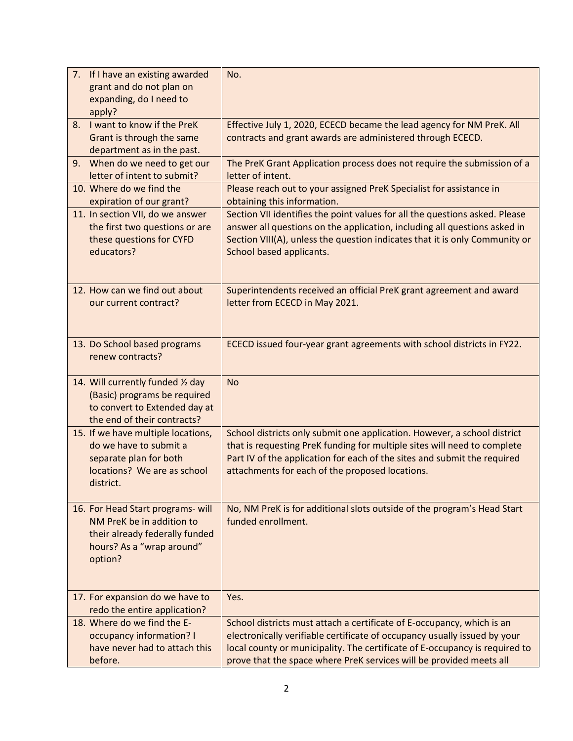| 7. If I have an existing awarded<br>grant and do not plan on<br>expanding, do I need to<br>apply?                                        | No.                                                                                                                                                                                                                                                                                                       |
|------------------------------------------------------------------------------------------------------------------------------------------|-----------------------------------------------------------------------------------------------------------------------------------------------------------------------------------------------------------------------------------------------------------------------------------------------------------|
| 8. I want to know if the PreK<br>Grant is through the same<br>department as in the past.                                                 | Effective July 1, 2020, ECECD became the lead agency for NM PreK. All<br>contracts and grant awards are administered through ECECD.                                                                                                                                                                       |
| 9. When do we need to get our<br>letter of intent to submit?                                                                             | The PreK Grant Application process does not require the submission of a<br>letter of intent.                                                                                                                                                                                                              |
| 10. Where do we find the<br>expiration of our grant?                                                                                     | Please reach out to your assigned PreK Specialist for assistance in<br>obtaining this information.                                                                                                                                                                                                        |
| 11. In section VII, do we answer<br>the first two questions or are<br>these questions for CYFD<br>educators?                             | Section VII identifies the point values for all the questions asked. Please<br>answer all questions on the application, including all questions asked in<br>Section VIII(A), unless the question indicates that it is only Community or<br>School based applicants.                                       |
| 12. How can we find out about<br>our current contract?                                                                                   | Superintendents received an official PreK grant agreement and award<br>letter from ECECD in May 2021.                                                                                                                                                                                                     |
| 13. Do School based programs<br>renew contracts?                                                                                         | ECECD issued four-year grant agreements with school districts in FY22.                                                                                                                                                                                                                                    |
| 14. Will currently funded 1/2 day<br>(Basic) programs be required<br>to convert to Extended day at<br>the end of their contracts?        | <b>No</b>                                                                                                                                                                                                                                                                                                 |
| 15. If we have multiple locations,<br>do we have to submit a<br>separate plan for both<br>locations? We are as school<br>district.       | School districts only submit one application. However, a school district<br>that is requesting PreK funding for multiple sites will need to complete<br>Part IV of the application for each of the sites and submit the required<br>attachments for each of the proposed locations.                       |
| 16. For Head Start programs- will<br>NM PreK be in addition to<br>their already federally funded<br>hours? As a "wrap around"<br>option? | No, NM PreK is for additional slots outside of the program's Head Start<br>funded enrollment.                                                                                                                                                                                                             |
| 17. For expansion do we have to<br>redo the entire application?                                                                          | Yes.                                                                                                                                                                                                                                                                                                      |
| 18. Where do we find the E-<br>occupancy information? I<br>have never had to attach this<br>before.                                      | School districts must attach a certificate of E-occupancy, which is an<br>electronically verifiable certificate of occupancy usually issued by your<br>local county or municipality. The certificate of E-occupancy is required to<br>prove that the space where PreK services will be provided meets all |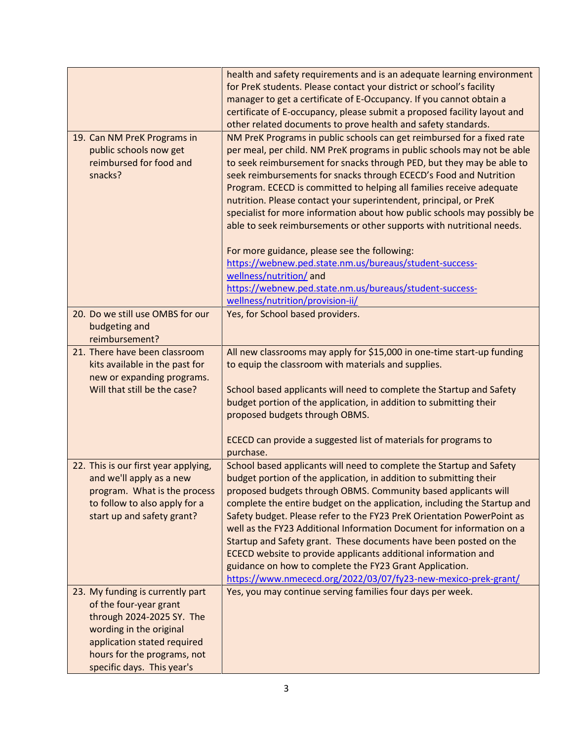|                                      | health and safety requirements and is an adequate learning environment   |
|--------------------------------------|--------------------------------------------------------------------------|
|                                      | for PreK students. Please contact your district or school's facility     |
|                                      | manager to get a certificate of E-Occupancy. If you cannot obtain a      |
|                                      | certificate of E-occupancy, please submit a proposed facility layout and |
|                                      | other related documents to prove health and safety standards.            |
| 19. Can NM PreK Programs in          | NM PreK Programs in public schools can get reimbursed for a fixed rate   |
| public schools now get               | per meal, per child. NM PreK programs in public schools may not be able  |
| reimbursed for food and              | to seek reimbursement for snacks through PED, but they may be able to    |
| snacks?                              | seek reimbursements for snacks through ECECD's Food and Nutrition        |
|                                      | Program. ECECD is committed to helping all families receive adequate     |
|                                      | nutrition. Please contact your superintendent, principal, or PreK        |
|                                      | specialist for more information about how public schools may possibly be |
|                                      | able to seek reimbursements or other supports with nutritional needs.    |
|                                      |                                                                          |
|                                      | For more guidance, please see the following:                             |
|                                      | https://webnew.ped.state.nm.us/bureaus/student-success-                  |
|                                      | wellness/nutrition/ and                                                  |
|                                      | https://webnew.ped.state.nm.us/bureaus/student-success-                  |
|                                      | wellness/nutrition/provision-ii/                                         |
| 20. Do we still use OMBS for our     | Yes, for School based providers.                                         |
| budgeting and                        |                                                                          |
| reimbursement?                       |                                                                          |
| 21. There have been classroom        | All new classrooms may apply for \$15,000 in one-time start-up funding   |
| kits available in the past for       | to equip the classroom with materials and supplies.                      |
| new or expanding programs.           |                                                                          |
| Will that still be the case?         | School based applicants will need to complete the Startup and Safety     |
|                                      | budget portion of the application, in addition to submitting their       |
|                                      | proposed budgets through OBMS.                                           |
|                                      |                                                                          |
|                                      | ECECD can provide a suggested list of materials for programs to          |
|                                      | purchase.                                                                |
| 22. This is our first year applying, | School based applicants will need to complete the Startup and Safety     |
| and we'll apply as a new             | budget portion of the application, in addition to submitting their       |
| program. What is the process         | proposed budgets through OBMS. Community based applicants will           |
| to follow to also apply for a        | complete the entire budget on the application, including the Startup and |
| start up and safety grant?           | Safety budget. Please refer to the FY23 PreK Orientation PowerPoint as   |
|                                      | well as the FY23 Additional Information Document for information on a    |
|                                      | Startup and Safety grant. These documents have been posted on the        |
|                                      | ECECD website to provide applicants additional information and           |
|                                      | guidance on how to complete the FY23 Grant Application.                  |
|                                      | https://www.nmececd.org/2022/03/07/fy23-new-mexico-prek-grant/           |
| 23. My funding is currently part     | Yes, you may continue serving families four days per week.               |
| of the four-year grant               |                                                                          |
| through 2024-2025 SY. The            |                                                                          |
| wording in the original              |                                                                          |
| application stated required          |                                                                          |
| hours for the programs, not          |                                                                          |
| specific days. This year's           |                                                                          |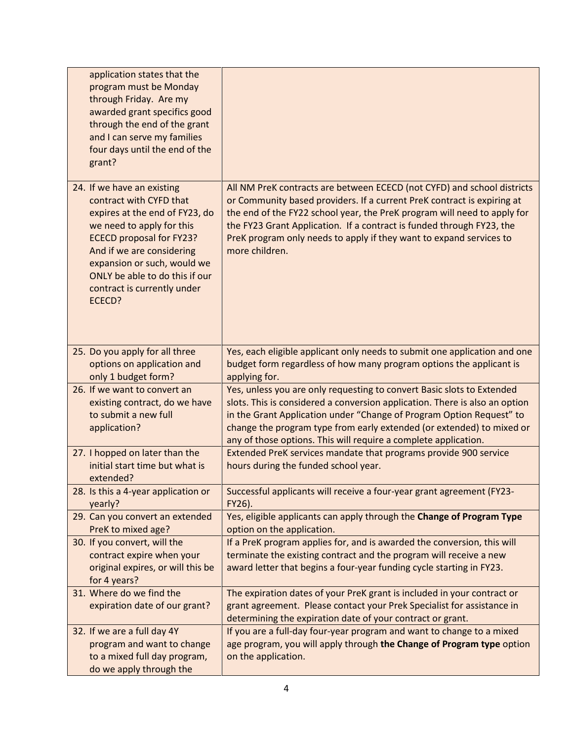| application states that the<br>program must be Monday<br>through Friday. Are my<br>awarded grant specifics good<br>through the end of the grant<br>and I can serve my families<br>four days until the end of the<br>grant?                                                                     |                                                                                                                                                                                                                                                                                                                                                                                                  |
|------------------------------------------------------------------------------------------------------------------------------------------------------------------------------------------------------------------------------------------------------------------------------------------------|--------------------------------------------------------------------------------------------------------------------------------------------------------------------------------------------------------------------------------------------------------------------------------------------------------------------------------------------------------------------------------------------------|
| 24. If we have an existing<br>contract with CYFD that<br>expires at the end of FY23, do<br>we need to apply for this<br><b>ECECD proposal for FY23?</b><br>And if we are considering<br>expansion or such, would we<br>ONLY be able to do this if our<br>contract is currently under<br>ECECD? | All NM PreK contracts are between ECECD (not CYFD) and school districts<br>or Community based providers. If a current PreK contract is expiring at<br>the end of the FY22 school year, the PreK program will need to apply for<br>the FY23 Grant Application. If a contract is funded through FY23, the<br>PreK program only needs to apply if they want to expand services to<br>more children. |
| 25. Do you apply for all three<br>options on application and<br>only 1 budget form?                                                                                                                                                                                                            | Yes, each eligible applicant only needs to submit one application and one<br>budget form regardless of how many program options the applicant is<br>applying for.                                                                                                                                                                                                                                |
| 26. If we want to convert an<br>existing contract, do we have<br>to submit a new full<br>application?                                                                                                                                                                                          | Yes, unless you are only requesting to convert Basic slots to Extended<br>slots. This is considered a conversion application. There is also an option<br>in the Grant Application under "Change of Program Option Request" to<br>change the program type from early extended (or extended) to mixed or<br>any of those options. This will require a complete application.                        |
| 27. I hopped on later than the<br>initial start time but what is<br>extended?                                                                                                                                                                                                                  | Extended PreK services mandate that programs provide 900 service<br>hours during the funded school year.                                                                                                                                                                                                                                                                                         |
| 28. Is this a 4-year application or<br>yearly?                                                                                                                                                                                                                                                 | Successful applicants will receive a four-year grant agreement (FY23-<br>FY26).                                                                                                                                                                                                                                                                                                                  |
| 29. Can you convert an extended<br>PreK to mixed age?                                                                                                                                                                                                                                          | Yes, eligible applicants can apply through the Change of Program Type<br>option on the application.                                                                                                                                                                                                                                                                                              |
| 30. If you convert, will the<br>contract expire when your<br>original expires, or will this be<br>for 4 years?                                                                                                                                                                                 | If a PreK program applies for, and is awarded the conversion, this will<br>terminate the existing contract and the program will receive a new<br>award letter that begins a four-year funding cycle starting in FY23.                                                                                                                                                                            |
| 31. Where do we find the<br>expiration date of our grant?                                                                                                                                                                                                                                      | The expiration dates of your PreK grant is included in your contract or<br>grant agreement. Please contact your Prek Specialist for assistance in<br>determining the expiration date of your contract or grant.                                                                                                                                                                                  |
| 32. If we are a full day 4Y<br>program and want to change<br>to a mixed full day program,<br>do we apply through the                                                                                                                                                                           | If you are a full-day four-year program and want to change to a mixed<br>age program, you will apply through the Change of Program type option<br>on the application.                                                                                                                                                                                                                            |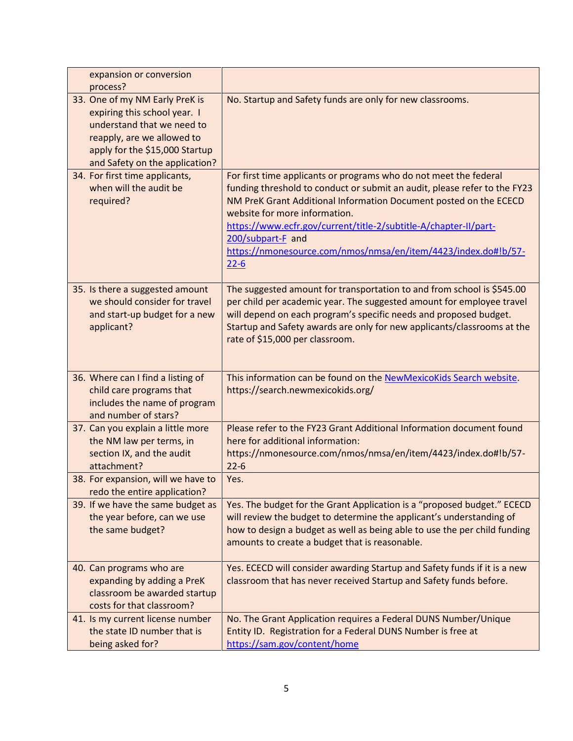| expansion or conversion<br>process?                                                                                                                                                            |                                                                                                                                                                                                                                                                                                                                                                                                                             |
|------------------------------------------------------------------------------------------------------------------------------------------------------------------------------------------------|-----------------------------------------------------------------------------------------------------------------------------------------------------------------------------------------------------------------------------------------------------------------------------------------------------------------------------------------------------------------------------------------------------------------------------|
| 33. One of my NM Early PreK is<br>expiring this school year. I<br>understand that we need to<br>reapply, are we allowed to<br>apply for the \$15,000 Startup<br>and Safety on the application? | No. Startup and Safety funds are only for new classrooms.                                                                                                                                                                                                                                                                                                                                                                   |
| 34. For first time applicants,<br>when will the audit be<br>required?                                                                                                                          | For first time applicants or programs who do not meet the federal<br>funding threshold to conduct or submit an audit, please refer to the FY23<br>NM PreK Grant Additional Information Document posted on the ECECD<br>website for more information.<br>https://www.ecfr.gov/current/title-2/subtitle-A/chapter-II/part-<br>200/subpart-F and<br>https://nmonesource.com/nmos/nmsa/en/item/4423/index.do#!b/57-<br>$22 - 6$ |
| 35. Is there a suggested amount<br>we should consider for travel<br>and start-up budget for a new<br>applicant?                                                                                | The suggested amount for transportation to and from school is \$545.00<br>per child per academic year. The suggested amount for employee travel<br>will depend on each program's specific needs and proposed budget.<br>Startup and Safety awards are only for new applicants/classrooms at the<br>rate of \$15,000 per classroom.                                                                                          |
| 36. Where can I find a listing of<br>child care programs that<br>includes the name of program<br>and number of stars?                                                                          | This information can be found on the NewMexicoKids Search website.<br>https://search.newmexicokids.org/                                                                                                                                                                                                                                                                                                                     |
| 37. Can you explain a little more<br>the NM law per terms, in<br>section IX, and the audit<br>attachment?                                                                                      | Please refer to the FY23 Grant Additional Information document found<br>here for additional information:<br>https://nmonesource.com/nmos/nmsa/en/item/4423/index.do#!b/57-<br>$22 - 6$                                                                                                                                                                                                                                      |
| 38. For expansion, will we have to<br>redo the entire application?                                                                                                                             | Yes.                                                                                                                                                                                                                                                                                                                                                                                                                        |
| 39. If we have the same budget as<br>the year before, can we use<br>the same budget?                                                                                                           | Yes. The budget for the Grant Application is a "proposed budget." ECECD<br>will review the budget to determine the applicant's understanding of<br>how to design a budget as well as being able to use the per child funding<br>amounts to create a budget that is reasonable.                                                                                                                                              |
| 40. Can programs who are<br>expanding by adding a PreK<br>classroom be awarded startup<br>costs for that classroom?                                                                            | Yes. ECECD will consider awarding Startup and Safety funds if it is a new<br>classroom that has never received Startup and Safety funds before.                                                                                                                                                                                                                                                                             |
| 41. Is my current license number<br>the state ID number that is<br>being asked for?                                                                                                            | No. The Grant Application requires a Federal DUNS Number/Unique<br>Entity ID. Registration for a Federal DUNS Number is free at<br>https://sam.gov/content/home                                                                                                                                                                                                                                                             |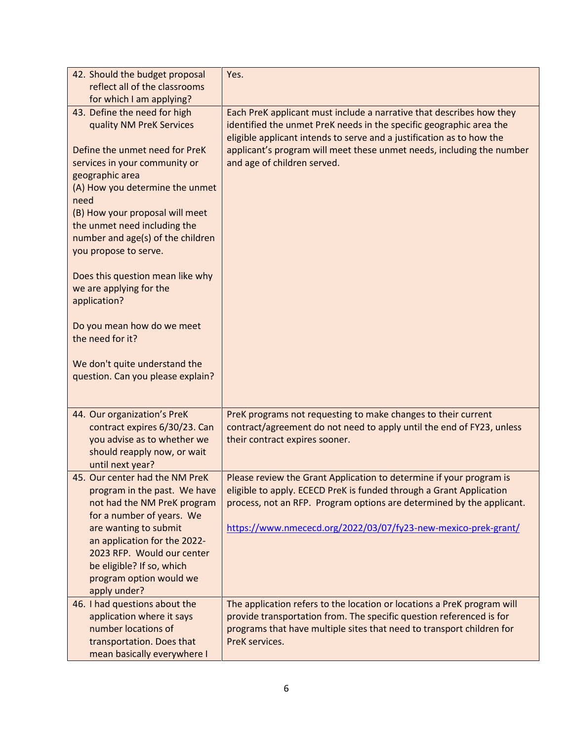| 42. Should the budget proposal                                                                                                                                                                                                                                                                                                | Yes.                                                                                                                                                                                                                                                                                  |
|-------------------------------------------------------------------------------------------------------------------------------------------------------------------------------------------------------------------------------------------------------------------------------------------------------------------------------|---------------------------------------------------------------------------------------------------------------------------------------------------------------------------------------------------------------------------------------------------------------------------------------|
| reflect all of the classrooms                                                                                                                                                                                                                                                                                                 |                                                                                                                                                                                                                                                                                       |
| for which I am applying?                                                                                                                                                                                                                                                                                                      |                                                                                                                                                                                                                                                                                       |
| 43. Define the need for high<br>quality NM PreK Services                                                                                                                                                                                                                                                                      | Each PreK applicant must include a narrative that describes how they<br>identified the unmet PreK needs in the specific geographic area the<br>eligible applicant intends to serve and a justification as to how the                                                                  |
| Define the unmet need for PreK<br>services in your community or<br>geographic area<br>(A) How you determine the unmet<br>need<br>(B) How your proposal will meet<br>the unmet need including the<br>number and age(s) of the children<br>you propose to serve.<br>Does this question mean like why<br>we are applying for the | applicant's program will meet these unmet needs, including the number<br>and age of children served.                                                                                                                                                                                  |
| application?                                                                                                                                                                                                                                                                                                                  |                                                                                                                                                                                                                                                                                       |
| Do you mean how do we meet<br>the need for it?                                                                                                                                                                                                                                                                                |                                                                                                                                                                                                                                                                                       |
| We don't quite understand the<br>question. Can you please explain?                                                                                                                                                                                                                                                            |                                                                                                                                                                                                                                                                                       |
| 44. Our organization's PreK<br>contract expires 6/30/23. Can<br>you advise as to whether we<br>should reapply now, or wait<br>until next year?                                                                                                                                                                                | PreK programs not requesting to make changes to their current<br>contract/agreement do not need to apply until the end of FY23, unless<br>their contract expires sooner.                                                                                                              |
| 45. Our center had the NM PreK<br>program in the past. We have<br>not had the NM PreK program<br>for a number of years. We<br>are wanting to submit<br>an application for the 2022-<br>2023 RFP. Would our center<br>be eligible? If so, which<br>program option would we<br>apply under?                                     | Please review the Grant Application to determine if your program is<br>eligible to apply. ECECD PreK is funded through a Grant Application<br>process, not an RFP. Program options are determined by the applicant.<br>https://www.nmececd.org/2022/03/07/fy23-new-mexico-prek-grant/ |
| 46. I had questions about the<br>application where it says<br>number locations of<br>transportation. Does that<br>mean basically everywhere I                                                                                                                                                                                 | The application refers to the location or locations a PreK program will<br>provide transportation from. The specific question referenced is for<br>programs that have multiple sites that need to transport children for<br>PreK services.                                            |